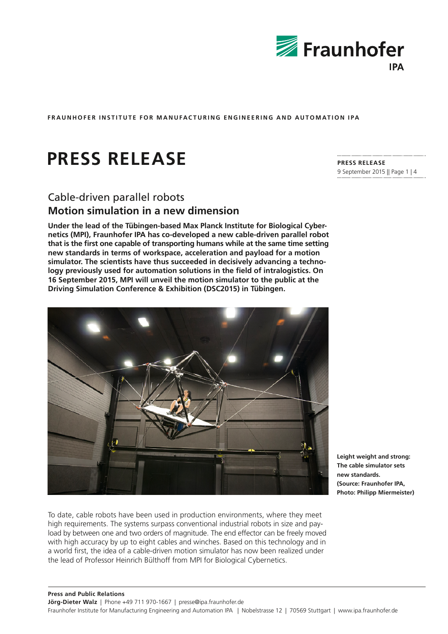

# **PRESS RELEASE**

## Cable-driven parallel robots **Motion simulation in a new dimension**

**Under the lead of the Tübingen-based Max Planck Institute for Biological Cybernetics (MPI), Fraunhofer IPA has co-developed a new cable-driven parallel robot that is the first one capable of transporting humans while at the same time setting new standards in terms of workspace, acceleration and payload for a motion simulator. The scientists have thus succeeded in decisively advancing a technology previously used for automation solutions in the field of intralogistics. On 16 September 2015, MPI will unveil the motion simulator to the public at the Driving Simulation Conference & Exhibition (DSC2015) in Tübingen.** 



To date, cable robots have been used in production environments, where they meet high requirements. The systems surpass conventional industrial robots in size and payload by between one and two orders of magnitude. The end effector can be freely moved with high accuracy by up to eight cables and winches. Based on this technology and in a world first, the idea of a cable-driven motion simulator has now been realized under the lead of Professor Heinrich Bülthoff from MPI for Biological Cybernetics.

**PRESS RELEASE**  9 September 2015 || Page 1 | 4

**Leight weight and strong: The cable simulator sets new standards. (Source: Fraunhofer IPA, Photo: Philipp Miermeister)**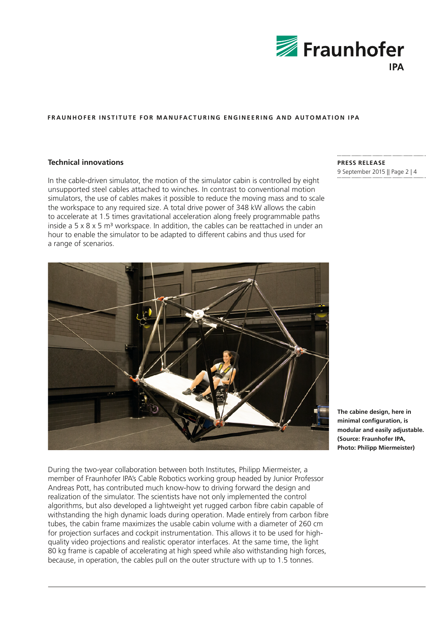

## **Technical innovations**

In the cable-driven simulator, the motion of the simulator cabin is controlled by eight unsupported steel cables attached to winches. In contrast to conventional motion simulators, the use of cables makes it possible to reduce the moving mass and to scale the workspace to any required size. A total drive power of 348 kW allows the cabin to accelerate at 1.5 times gravitational acceleration along freely programmable paths inside a  $5 \times 8 \times 5$  m<sup>3</sup> workspace. In addition, the cables can be reattached in under an hour to enable the simulator to be adapted to different cabins and thus used for a range of scenarios.

# **PRESS RELEASE**

9 September 2015 || Page 2 | 4



**The cabine design, here in minimal configuration, is modular and easily adjustable. (Source: Fraunhofer IPA, Photo: Philipp Miermeister)**

During the two-year collaboration between both Institutes, Philipp Miermeister, a member of Fraunhofer IPA's Cable Robotics working group headed by Junior Professor Andreas Pott, has contributed much know-how to driving forward the design and realization of the simulator. The scientists have not only implemented the control algorithms, but also developed a lightweight yet rugged carbon fibre cabin capable of withstanding the high dynamic loads during operation. Made entirely from carbon fibre tubes, the cabin frame maximizes the usable cabin volume with a diameter of 260 cm for projection surfaces and cockpit instrumentation. This allows it to be used for highquality video projections and realistic operator interfaces. At the same time, the light 80 kg frame is capable of accelerating at high speed while also withstanding high forces, because, in operation, the cables pull on the outer structure with up to 1.5 tonnes.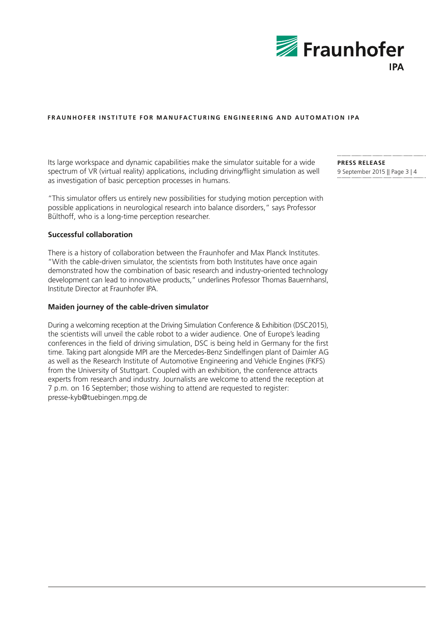

Its large workspace and dynamic capabilities make the simulator suitable for a wide spectrum of VR (virtual reality) applications, including driving/flight simulation as well as investigation of basic perception processes in humans.

"This simulator offers us entirely new possibilities for studying motion perception with possible applications in neurological research into balance disorders," says Professor Bülthoff, who is a long-time perception researcher.

### **Successful collaboration**

There is a history of collaboration between the Fraunhofer and Max Planck Institutes. "With the cable-driven simulator, the scientists from both Institutes have once again demonstrated how the combination of basic research and industry-oriented technology development can lead to innovative products," underlines Professor Thomas Bauernhansl, Institute Director at Fraunhofer IPA.

#### **Maiden journey of the cable-driven simulator**

During a welcoming reception at the Driving Simulation Conference & Exhibition (DSC2015), the scientists will unveil the cable robot to a wider audience. One of Europe's leading conferences in the field of driving simulation, DSC is being held in Germany for the first time. Taking part alongside MPI are the Mercedes-Benz Sindelfingen plant of Daimler AG as well as the Research Institute of Automotive Engineering and Vehicle Engines (FKFS) from the University of Stuttgart. Coupled with an exhibition, the conference attracts experts from research and industry. Journalists are welcome to attend the reception at 7 p.m. on 16 September; those wishing to attend are requested to register: presse-kyb@tuebingen.mpg.de

**PRESS RELEASE**  9 September 2015 || Page 3 | 4